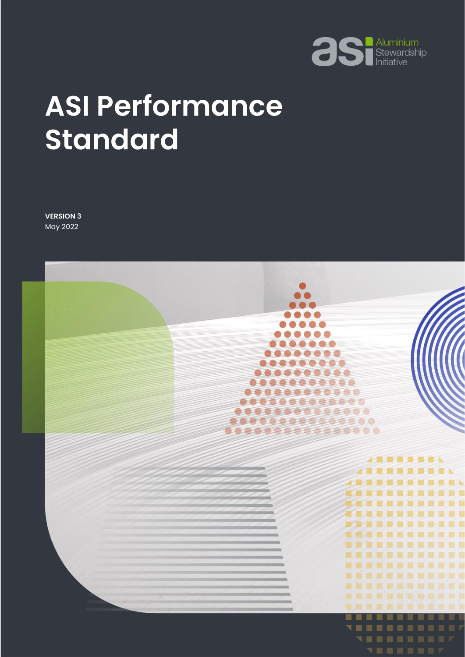

# **ASI Performance Standard**

**VERSION 3** May 2022

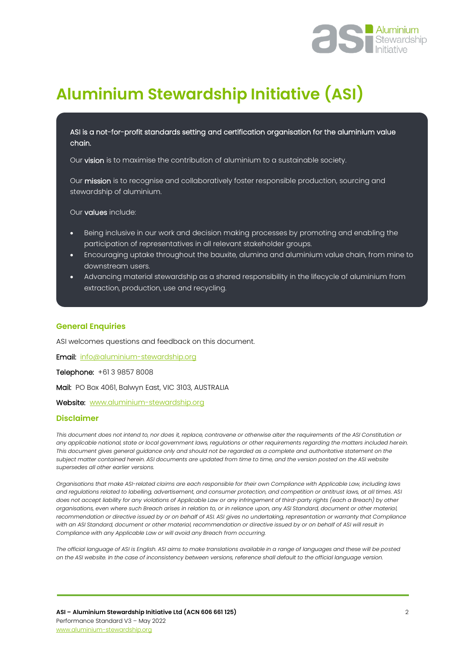

# **Aluminium Stewardship Initiative (ASI)**

ASI is a not-for-profit standards setting and certification organisation for the aluminium value chain.

Our vision is to maximise the contribution of aluminium to a sustainable society.

Our mission is to recognise and collaboratively foster responsible production, sourcing and stewardship of aluminium.

Our values include:

- Being inclusive in our work and decision making processes by promoting and enabling the participation of representatives in all relevant stakeholder groups.
- Encouraging uptake throughout the bauxite, alumina and aluminium value chain, from mine to downstream users.
- Advancing material stewardship as a shared responsibility in the lifecycle of aluminium from extraction, production, use and recycling.

#### **General Enquiries**

l

ASI welcomes questions and feedback on this document.

Email: [info@aluminium-stewardship.org](mailto:info@aluminium-stewardship.org) 

Telephone: +61 3 9857 8008

Mail: PO Box 4061, Balwyn East, VIC 3103, AUSTRALIA

Website: [www.aluminium-stewardship.org](http://www.aluminium-stewardship.org/)

#### **Disclaimer**

*This document does not intend to, nor does it, replace, contravene or otherwise alter the requirements of the ASI Constitution or any applicable national, state or local government laws, regulations or other requirements regarding the matters included herein. This document gives general guidance only and should not be regarded as a complete and authoritative statement on the subject matter contained herein. ASI documents are updated from time to time, and the version posted on the ASI website supersedes all other earlier versions.*

*Organisations that make ASI-related claims are each responsible for their own Compliance with Applicable Law, including laws and regulations related to labelling, advertisement, and consumer protection, and competition or antitrust laws, at all times. ASI does not accept liability for any violations of Applicable Law or any infringement of third-party rights (each a Breach) by other organisations, even where such Breach arises in relation to, or in reliance upon, any ASI Standard, document or other material, recommendation or directive issued by or on behalf of ASI. ASI gives no undertaking, representation or warranty that Compliance with an ASI Standard, document or other material, recommendation or directive issued by or on behalf of ASI will result in Compliance with any Applicable Law or will avoid any Breach from occurring.*

*The official language of ASI is English. ASI aims to make translations available in a range of languages and these will be posted on the ASI website. In the case of inconsistency between versions, reference shall default to the official language version.*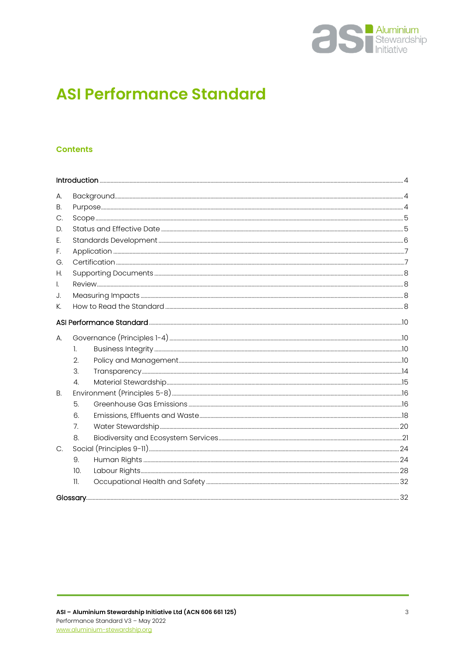

# **ASI Performance Standard**

#### **Contents**

| А.           |              |  |  |
|--------------|--------------|--|--|
| В.           |              |  |  |
| С.           |              |  |  |
| D.           |              |  |  |
| E.           |              |  |  |
| F.           |              |  |  |
| G.           |              |  |  |
| Н.           |              |  |  |
| $\mathsf{L}$ |              |  |  |
| J.           |              |  |  |
| К.           |              |  |  |
|              |              |  |  |
| А.           |              |  |  |
|              | $\mathbf{L}$ |  |  |
|              | 2.           |  |  |
|              | 3.           |  |  |
|              | 4.           |  |  |
| B.           |              |  |  |
|              | 5.           |  |  |
|              | 6.           |  |  |
|              | 7.           |  |  |
|              | 8.           |  |  |
| C.           |              |  |  |
|              | 9.           |  |  |
|              | 10.          |  |  |
|              | $\mathbf{L}$ |  |  |
|              |              |  |  |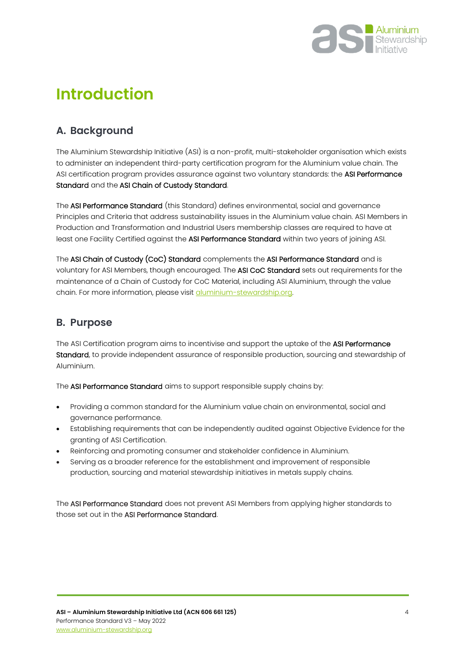

# <span id="page-3-0"></span>**Introduction**

# <span id="page-3-1"></span>**A. Background**

The Aluminium Stewardship Initiative (ASI) is a non-profit, multi-stakeholder organisation which exists to administer an independent third-party certification program for the Aluminium value chain. The ASI certification program provides assurance against two voluntary standards: the ASI Performance Standard and the ASI Chain of Custody Standard.

The ASI Performance Standard (this Standard) defines environmental, social and governance Principles and Criteria that address sustainability issues in the Aluminium value chain. ASI Members in Production and Transformation and Industrial Users membership classes are required to have at least one Facility Certified against the ASI Performance Standard within two years of joining ASI.

The ASI Chain of Custody (CoC) Standard complements the ASI Performance Standard and is voluntary for ASI Members, though encouraged. The ASI CoC Standard sets out requirements for the maintenance of a Chain of Custody for CoC Material, including ASI Aluminium, through the value chain. For more information, please visit [aluminium-stewardship.org.](file:///C:/Users/FionaSolomon/Box%20Sync/Standards/ASI%20Chain%20of%20Custody%20Standard/Draft%203/aluminium-stewardship.org)

## <span id="page-3-2"></span>**B. Purpose**

The ASI Certification program aims to incentivise and support the uptake of the ASI Performance Standard, to provide independent assurance of responsible production, sourcing and stewardship of Aluminium.

The ASI Performance Standard aims to support responsible supply chains by:

- Providing a common standard for the Aluminium value chain on environmental, social and governance performance.
- Establishing requirements that can be independently audited against Objective Evidence for the granting of ASI Certification.
- Reinforcing and promoting consumer and stakeholder confidence in Aluminium.
- Serving as a broader reference for the establishment and improvement of responsible production, sourcing and material stewardship initiatives in metals supply chains.

The ASI Performance Standard does not prevent ASI Members from applying higher standards to those set out in the ASI Performance Standard.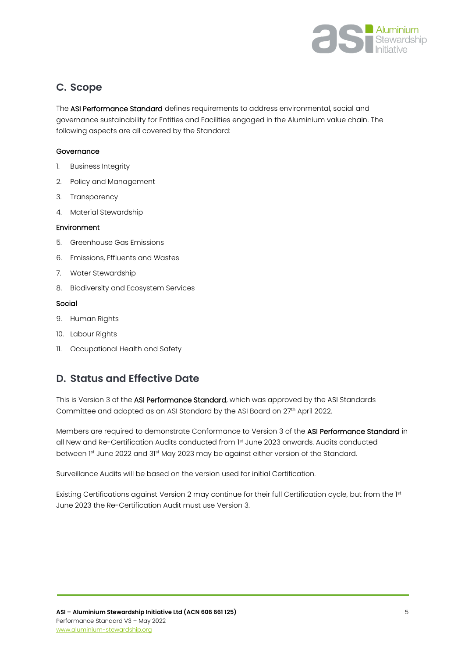

## <span id="page-4-0"></span>**C. Scope**

The ASI Performance Standard defines requirements to address environmental, social and governance sustainability for Entities and Facilities engaged in the Aluminium value chain. The following aspects are all covered by the Standard:

#### **Governance**

- 1. Business Integrity
- 2. Policy and Management
- 3. Transparency
- 4. Material Stewardship

#### Environment

- 5. Greenhouse Gas Emissions
- 6. Emissions, Effluents and Wastes
- 7. Water Stewardship
- 8. Biodiversity and Ecosystem Services

#### Social

- 9. Human Rights
- 10. Labour Rights
- 11. Occupational Health and Safety

## <span id="page-4-1"></span>**D. Status and Effective Date**

This is Version 3 of the ASI Performance Standard, which was approved by the ASI Standards Committee and adopted as an ASI Standard by the ASI Board on 27th April 2022.

Members are required to demonstrate Conformance to Version 3 of the ASI Performance Standard in all New and Re-Certification Audits conducted from 1 st June 2023 onwards. Audits conducted between 1st June 2022 and 31st May 2023 may be against either version of the Standard.

Surveillance Audits will be based on the version used for initial Certification.

Existing Certifications against Version 2 may continue for their full Certification cycle, but from the 1st June 2023 the Re-Certification Audit must use Version 3.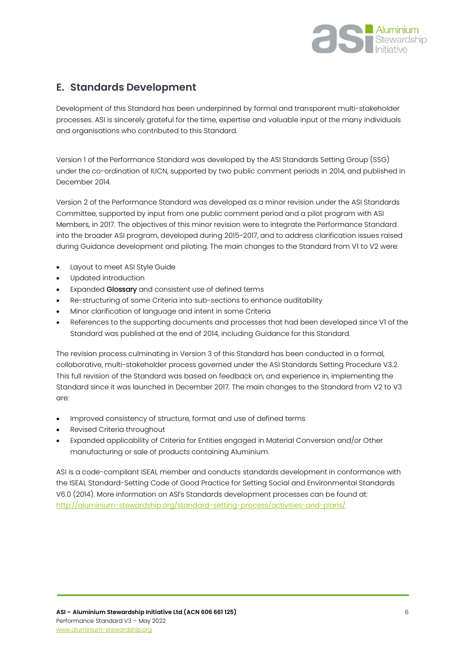

# <span id="page-5-0"></span>**E. Standards Development**

Development of this Standard has been underpinned by formal and transparent multi-stakeholder processes. ASI is sincerely grateful for the time, expertise and valuable input of the many individuals and organisations who contributed to this Standard.

Version 1 of the Performance Standard was developed by the ASI Standards Setting Group (SSG) under the co-ordination of IUCN, supported by two public comment periods in 2014, and published in December 2014.

Version 2 of the Performance Standard was developed as a minor revision under the ASI Standards Committee, supported by input from one public comment period and a pilot program with ASI Members, in 2017. The objectives of this minor revision were to integrate the Performance Standard into the broader ASI program, developed during 2015-2017, and to address clarification issues raised during Guidance development and piloting. The main changes to the Standard from V1 to V2 were:

- Layout to meet ASI Style Guide
- Updated introduction
- Expanded Glossary and consistent use of defined terms
- Re-structuring of some Criteria into sub-sections to enhance auditability
- Minor clarification of language and intent in some Criteria
- References to the supporting documents and processes that had been developed since V1 of the Standard was published at the end of 2014, including Guidance for this Standard.

The revision process culminating in Version 3 of this Standard has been conducted in a formal, collaborative, multi-stakeholder process governed under the ASI Standards Setting Procedure V3.2. This full revision of the Standard was based on feedback on, and experience in, implementing the Standard since it was launched in December 2017. The main changes to the Standard from V2 to V3 are:

- Improved consistency of structure, format and use of defined terms
- Revised Criteria throughout
- Expanded applicability of Criteria for Entities engaged in Material Conversion and/or Other manufacturing or sale of products containing Aluminium.

ASI is a code-compliant ISEAL member and conducts standards development in conformance with the ISEAL Standard-Setting Code of Good Practice for Setting Social and Environmental Standards V6.0 (2014). More information on ASI's Standards development processes can be found at: <http://aluminium-stewardship.org/standard-setting-process/activities-and-plans/>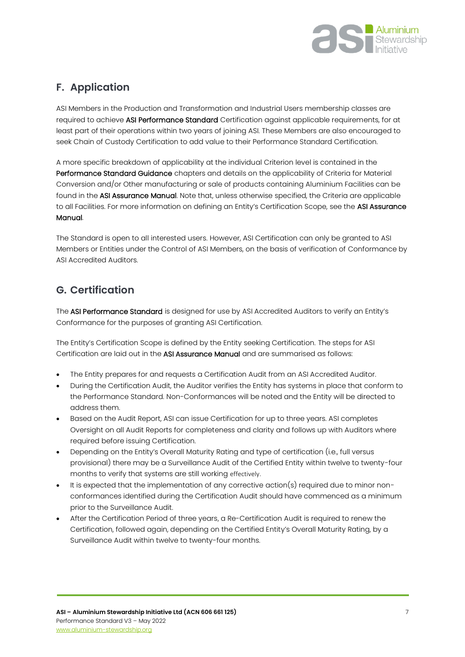

# <span id="page-6-0"></span>**F. Application**

ASI Members in the Production and Transformation and Industrial Users membership classes are required to achieve ASI Performance Standard Certification against applicable requirements, for at least part of their operations within two years of joining ASI. These Members are also encouraged to seek Chain of Custody Certification to add value to their Performance Standard Certification.

A more specific breakdown of applicability at the individual Criterion level is contained in the Performance Standard Guidance chapters and details on the applicability of Criteria for Material Conversion and/or Other manufacturing or sale of products containing Aluminium Facilities can be found in the ASI Assurance Manual. Note that, unless otherwise specified, the Criteria are applicable to all Facilities. For more information on defining an Entity's Certification Scope, see the ASI Assurance Manual.

The Standard is open to all interested users. However, ASI Certification can only be granted to ASI Members or Entities under the Control of ASI Members, on the basis of verification of Conformance by ASI Accredited Auditors.

# <span id="page-6-1"></span>**G. Certification**

The ASI Performance Standard is designed for use by ASI Accredited Auditors to verify an Entity's Conformance for the purposes of granting ASI Certification.

The Entity's Certification Scope is defined by the Entity seeking Certification. The steps for ASI Certification are laid out in the ASI Assurance Manual and are summarised as follows:

- The Entity prepares for and requests a Certification Audit from an ASI Accredited Auditor.
- During the Certification Audit, the Auditor verifies the Entity has systems in place that conform to the Performance Standard. Non-Conformances will be noted and the Entity will be directed to address them.
- Based on the Audit Report, ASI can issue Certification for up to three years. ASI completes Oversight on all Audit Reports for completeness and clarity and follows up with Auditors where required before issuing Certification.
- Depending on the Entity's Overall Maturity Rating and type of certification (i.e., full versus provisional) there may be a Surveillance Audit of the Certified Entity within twelve to twenty-four months to verify that systems are still working effectively.
- It is expected that the implementation of any corrective action(s) required due to minor nonconformances identified during the Certification Audit should have commenced as a minimum prior to the Surveillance Audit.
- After the Certification Period of three years, a Re-Certification Audit is required to renew the Certification, followed again, depending on the Certified Entity's Overall Maturity Rating, by a Surveillance Audit within twelve to twenty-four months.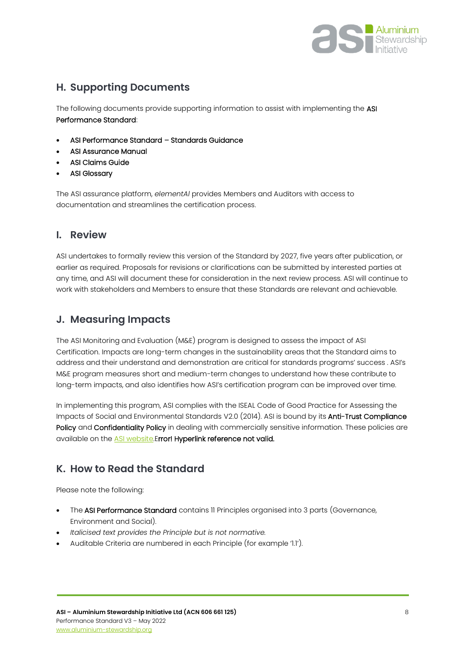

# <span id="page-7-0"></span>**H. Supporting Documents**

The following documents provide supporting information to assist with implementing the ASI Performance Standard:

- ASI Performance Standard Standards Guidance
- ASI Assurance Manual
- ASI Claims Guide
- **ASI Glossary**

The ASI assurance platform, *elementAl* provides Members and Auditors with access to documentation and streamlines the certification process.

### <span id="page-7-1"></span>**I. Review**

ASI undertakes to formally review this version of the Standard by 2027, five years after publication, or earlier as required. Proposals for revisions or clarifications can be submitted by interested parties at any time, and ASI will document these for consideration in the next review process. ASI will continue to work with stakeholders and Members to ensure that these Standards are relevant and achievable.

## <span id="page-7-2"></span>**J. Measuring Impacts**

The ASI Monitoring and Evaluation (M&E) program is designed to assess the impact of ASI Certification. Impacts are long-term changes in the sustainability areas that the Standard aims to address and their understand and demonstration are critical for standards programs' success . ASI's M&E program measures short and medium-term changes to understand how these contribute to long-term impacts, and also identifies how ASI's certification program can be improved over time.

In implementing this program, ASI complies with the ISEAL Code of Good Practice for Assessing the Impacts of Social and Environmental Standards V2.0 (2014). ASI is bound by its Anti-Trust Compliance Policy and Confidentiality Policy in dealing with commercially sensitive information. These policies are available on the [ASI website.E](https://aluminium-stewardship.org/about-asi/legal-finance-policies/)rror! Hyperlink reference not valid.

## <span id="page-7-3"></span>**K. How to Read the Standard**

Please note the following:

- The ASI Performance Standard contains II Principles organised into 3 parts (Governance, Environment and Social).
- *Italicised text provides the Principle but is not normative.*
- Auditable Criteria are numbered in each Principle (for example '1.1').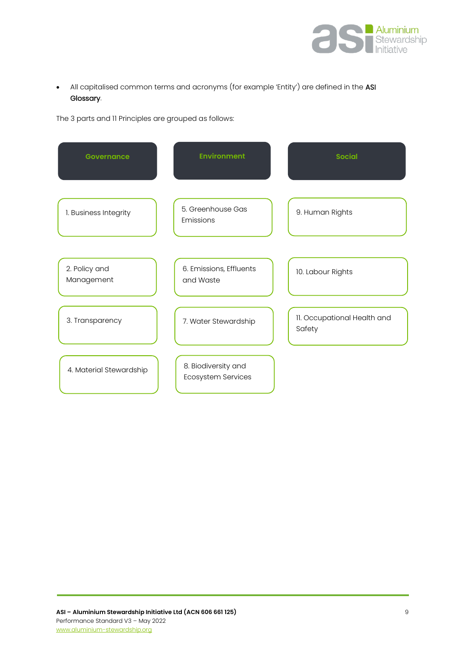

• All capitalised common terms and acronyms (for example 'Entity') are defined in the ASI Glossary.

The 3 parts and 11 Principles are grouped as follows:

| <b>Governance</b>           | <b>Environment</b>                        | <b>Social</b>                         |
|-----------------------------|-------------------------------------------|---------------------------------------|
| 1. Business Integrity       | 5. Greenhouse Gas<br>Emissions            | 9. Human Rights                       |
| 2. Policy and<br>Management | 6. Emissions, Effluents<br>and Waste      | 10. Labour Rights                     |
| 3. Transparency             | 7. Water Stewardship                      | 11. Occupational Health and<br>Safety |
| 4. Material Stewardship     | 8. Biodiversity and<br>Ecosystem Services |                                       |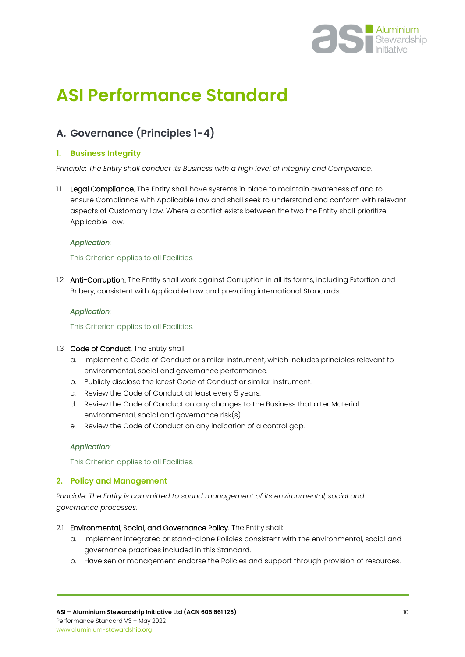

# <span id="page-9-0"></span>**ASI Performance Standard**

# <span id="page-9-1"></span>**A. Governance (Principles 1-4)**

#### <span id="page-9-2"></span>**1. Business Integrity**

*Principle: The Entity shall conduct its Business with a high level of integrity and Compliance.*

1.1 Legal Compliance. The Entity shall have systems in place to maintain awareness of and to ensure Compliance with Applicable Law and shall seek to understand and conform with relevant aspects of Customary Law. Where a conflict exists between the two the Entity shall prioritize Applicable Law.

#### *Application:*

#### This Criterion applies to all Facilities.

1.2 Anti-Corruption. The Entity shall work against Corruption in all its forms, including Extortion and Bribery, consistent with Applicable Law and prevailing international Standards.

#### *Application:*

This Criterion applies to all Facilities.

#### 1.3 Code of Conduct. The Entity shall:

- a. Implement a Code of Conduct or similar instrument, which includes principles relevant to environmental, social and governance performance.
- b. Publicly disclose the latest Code of Conduct or similar instrument.
- c. Review the Code of Conduct at least every 5 years.
- d. Review the Code of Conduct on any changes to the Business that alter Material environmental, social and governance risk(s).
- e. Review the Code of Conduct on any indication of a control gap.

#### *Application:*

This Criterion applies to all Facilities.

#### <span id="page-9-3"></span>**2. Policy and Management**

*Principle: The Entity is committed to sound management of its environmental, social and governance processes.*

- 2.1 Environmental, Social, and Governance Policy. The Entity shall:
	- a. Implement integrated or stand-alone Policies consistent with the environmental, social and governance practices included in this Standard.
	- b. Have senior management endorse the Policies and support through provision of resources.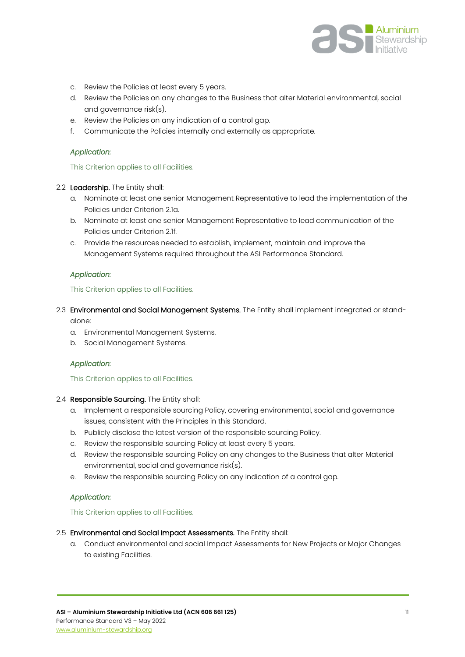

- c. Review the Policies at least every 5 years.
- d. Review the Policies on any changes to the Business that alter Material environmental, social and governance risk(s).
- e. Review the Policies on any indication of a control gap.
- f. Communicate the Policies internally and externally as appropriate.

#### This Criterion applies to all Facilities.

#### 2.2 Leadership. The Entity shall:

- a. Nominate at least one senior Management Representative to lead the implementation of the Policies under Criterion 2.1a.
- b. Nominate at least one senior Management Representative to lead communication of the Policies under Criterion 2.1f.
- c. Provide the resources needed to establish, implement, maintain and improve the Management Systems required throughout the ASI Performance Standard.

#### *Application:*

#### This Criterion applies to all Facilities.

- 2.3 Environmental and Social Management Systems. The Entity shall implement integrated or standalone:
	- a. Environmental Management Systems.
	- b. Social Management Systems.

#### *Application:*

#### This Criterion applies to all Facilities.

#### 2.4 Responsible Sourcing. The Entity shall:

- a. Implement a responsible sourcing Policy, covering environmental, social and governance issues, consistent with the Principles in this Standard.
- b. Publicly disclose the latest version of the responsible sourcing Policy.
- c. Review the responsible sourcing Policy at least every 5 years.
- d. Review the responsible sourcing Policy on any changes to the Business that alter Material environmental, social and governance risk(s).
- e. Review the responsible sourcing Policy on any indication of a control gap.

#### *Application:*

#### This Criterion applies to all Facilities.

#### 2.5 Environmental and Social Impact Assessments. The Entity shall:

a. Conduct environmental and social Impact Assessments for New Projects or Major Changes to existing Facilities.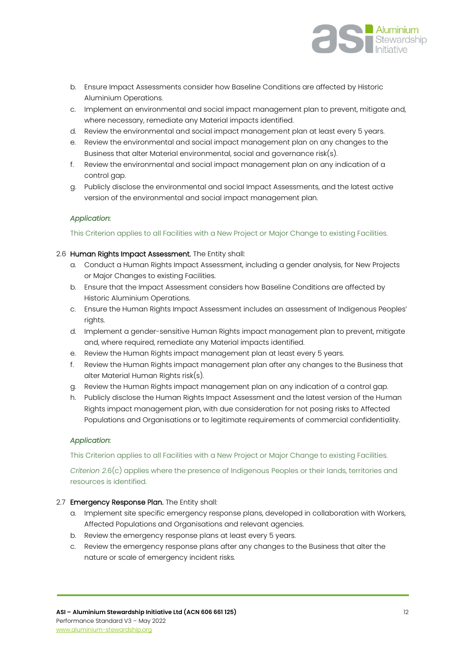

- b. Ensure Impact Assessments consider how Baseline Conditions are affected by Historic Aluminium Operations.
- c. Implement an environmental and social impact management plan to prevent, mitigate and, where necessary, remediate any Material impacts identified.
- d. Review the environmental and social impact management plan at least every 5 years.
- e. Review the environmental and social impact management plan on any changes to the Business that alter Material environmental, social and governance risk(s).
- f. Review the environmental and social impact management plan on any indication of a control gap.
- g. Publicly disclose the environmental and social Impact Assessments, and the latest active version of the environmental and social impact management plan.

This Criterion applies to all Facilities with a New Project or Major Change to existing Facilities.

#### 2.6 Human Rights Impact Assessment. The Entity shall:

- a. Conduct a Human Rights Impact Assessment, including a gender analysis, for New Projects or Major Changes to existing Facilities.
- b. Ensure that the Impact Assessment considers how Baseline Conditions are affected by Historic Aluminium Operations.
- c. Ensure the Human Rights Impact Assessment includes an assessment of Indigenous Peoples' rights.
- d. Implement a gender-sensitive Human Rights impact management plan to prevent, mitigate and, where required, remediate any Material impacts identified.
- e. Review the Human Rights impact management plan at least every 5 years.
- f. Review the Human Rights impact management plan after any changes to the Business that alter Material Human Rights risk(s).
- g. Review the Human Rights impact management plan on any indication of a control gap.
- h. Publicly disclose the Human Rights Impact Assessment and the latest version of the Human Rights impact management plan, with due consideration for not posing risks to Affected Populations and Organisations or to legitimate requirements of commercial confidentiality.

#### *Application:*

This Criterion applies to all Facilities with a New Project or Major Change to existing Facilities.

*Criterion 2.*6(c) applies where the presence of Indigenous Peoples or their lands, territories and resources is identified.

#### 2.7 Emergency Response Plan. The Entity shall:

- a. Implement site specific emergency response plans, developed in collaboration with Workers, Affected Populations and Organisations and relevant agencies.
- b. Review the emergency response plans at least every 5 years.
- c. Review the emergency response plans after any changes to the Business that alter the nature or scale of emergency incident risks.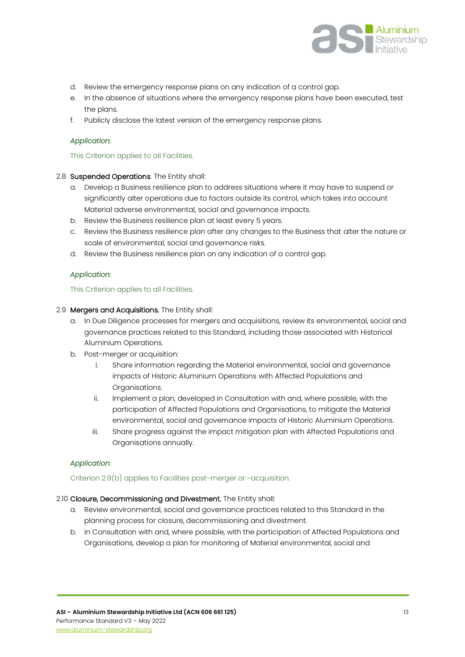

- d. Review the emergency response plans on any indication of a control gap.
- e. In the absence of situations where the emergency response plans have been executed, test the plans.
- f. Publicly disclose the latest version of the emergency response plans.

#### This Criterion applies to all Facilities.

#### 2.8 Suspended Operations. The Entity shall:

- a. Develop a Business resilience plan to address situations where it may have to suspend or significantly alter operations due to factors outside its control, which takes into account Material adverse environmental, social and governance impacts.
- b. Review the Business resilience plan at least every 5 years.
- c. Review the Business resilience plan after any changes to the Business that alter the nature or scale of environmental, social and governance risks.
- d. Review the Business resilience plan on any indication of a control gap.

#### *Application:*

#### This Criterion applies to all Facilities.

#### 2.9 Mergers and Acquisitions. The Entity shall:

- a. In Due Diligence processes for mergers and acquisitions, review its environmental, social and governance practices related to this Standard, including those associated with Historical Aluminium Operations.
- b. Post-merger or acquisition:
	- i. Share information regarding the Material environmental, social and governance impacts of Historic Aluminium Operations with Affected Populations and Organisations.
	- ii. Implement a plan, developed in Consultation with and, where possible, with the participation of Affected Populations and Organisations, to mitigate the Material environmental, social and governance impacts of Historic Aluminium Operations.
	- iii. Share progress against the impact mitigation plan with Affected Populations and Organisations annually.

#### *Application:*

#### Criterion 2.9(b) applies to Facilities post-merger or -acquisition.

#### 2.10 Closure, Decommissioning and Divestment. The Entity shall:

- a. Review environmental, social and governance practices related to this Standard in the planning process for closure, decommissioning and divestment.
- b. In Consultation with and, where possible, with the participation of Affected Populations and Organisations, develop a plan for monitoring of Material environmental, social and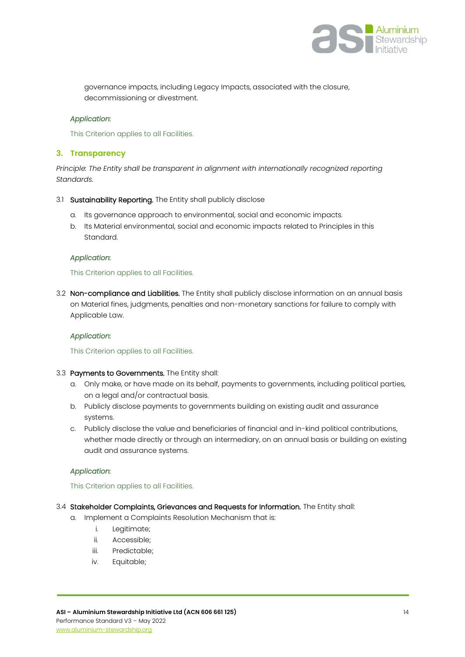

governance impacts, including Legacy Impacts, associated with the closure, decommissioning or divestment.

#### *Application:*

This Criterion applies to all Facilities.

#### <span id="page-13-0"></span>**3. Transparency**

*Principle: The Entity shall be transparent in alignment with internationally recognized reporting Standards.*

- 3.1 Sustainability Reporting. The Entity shall publicly disclose
	- a. Its governance approach to environmental, social and economic impacts.
	- b. Its Material environmental, social and economic impacts related to Principles in this Standard.

#### *Application:*

This Criterion applies to all Facilities.

3.2 Non-compliance and Liabilities. The Entity shall publicly disclose information on an annual basis on Material fines, judgments, penalties and non-monetary sanctions for failure to comply with Applicable Law.

#### *Application:*

This Criterion applies to all Facilities.

- 3.3 Payments to Governments. The Entity shall:
	- a. Only make, or have made on its behalf, payments to governments, including political parties, on a legal and/or contractual basis.
	- b. Publicly disclose payments to governments building on existing audit and assurance systems.
	- c. Publicly disclose the value and beneficiaries of financial and in-kind political contributions, whether made directly or through an intermediary, on an annual basis or building on existing audit and assurance systems.

#### *Application:*

This Criterion applies to all Facilities.

- 3.4 Stakeholder Complaints, Grievances and Requests for Information. The Entity shall:
	- a. Implement a Complaints Resolution Mechanism that is:
		- i. Legitimate;
		- ii. Accessible;
		- iii. Predictable;
		- iv. Equitable;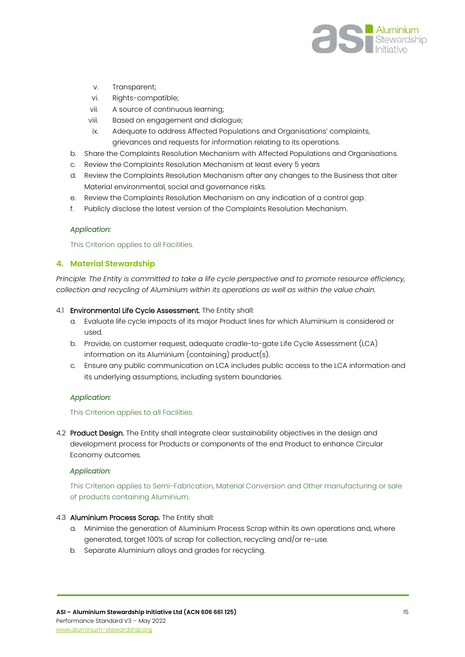

- v. Transparent;
- vi. Rights-compatible;
- vii. A source of continuous learning;
- viii. Based on engagement and dialogue;
- ix. Adequate to address Affected Populations and Organisations' complaints, grievances and requests for information relating to its operations.
- b. Share the Complaints Resolution Mechanism with Affected Populations and Organisations.
- c. Review the Complaints Resolution Mechanism at least every 5 years
- d. Review the Complaints Resolution Mechanism after any changes to the Business that alter Material environmental, social and governance risks.
- e. Review the Complaints Resolution Mechanism on any indication of a control gap.
- f. Publicly disclose the latest version of the Complaints Resolution Mechanism.

This Criterion applies to all Facilities.

#### <span id="page-14-0"></span>**4. Material Stewardship**

*Principle: The Entity is committed to take a life cycle perspective and to promote resource efficiency, collection and recycling of Aluminium within its operations as well as within the value chain.*

#### 4.1 Environmental Life Cycle Assessment. The Entity shall:

- a. Evaluate life cycle impacts of its major Product lines for which Aluminium is considered or used.
- b. Provide, on customer request, adequate cradle-to-gate Life Cycle Assessment (LCA) information on its Aluminium (containing) product(s).
- c. Ensure any public communication on LCA includes public access to the LCA information and its underlying assumptions, including system boundaries.

#### *Application:*

#### This Criterion applies to all Facilities.

4.2 Product Design. The Entity shall integrate clear sustainability objectives in the design and development process for Products or components of the end Product to enhance Circular Economy outcomes.

#### *Application:*

This Criterion applies to Semi-Fabrication, Material Conversion and Other manufacturing or sale of products containing Aluminium.

#### 4.3 Aluminium Process Scrap. The Entity shall:

- a. Minimise the generation of Aluminium Process Scrap within its own operations and, where generated, target 100% of scrap for collection, recycling and/or re-use.
- b. Separate Aluminium alloys and grades for recycling.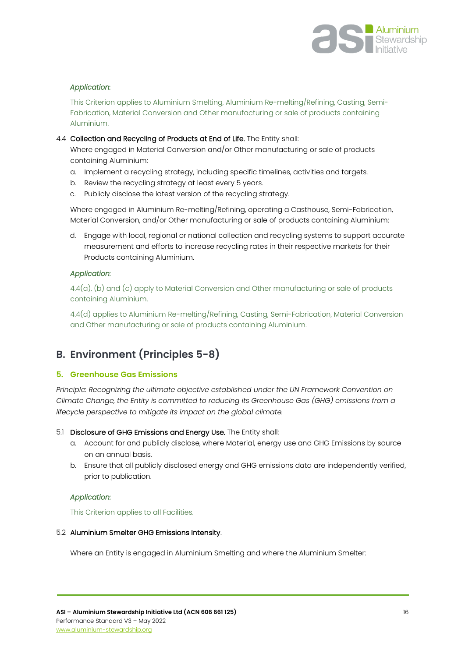

This Criterion applies to Aluminium Smelting, Aluminium Re-melting/Refining, Casting, Semi-Fabrication, Material Conversion and Other manufacturing or sale of products containing Aluminium.

#### 4.4 Collection and Recycling of Products at End of Life. The Entity shall:

Where engaged in Material Conversion and/or Other manufacturing or sale of products containing Aluminium:

- a. Implement a recycling strategy, including specific timelines, activities and targets.
- b. Review the recycling strategy at least every 5 years.
- c. Publicly disclose the latest version of the recycling strategy.

Where engaged in Aluminium Re-melting/Refining, operating a Casthouse, Semi-Fabrication, Material Conversion, and/or Other manufacturing or sale of products containing Aluminium:

d. Engage with local, regional or national collection and recycling systems to support accurate measurement and efforts to increase recycling rates in their respective markets for their Products containing Aluminium.

#### *Application:*

4.4(a), (b) and (c) apply to Material Conversion and Other manufacturing or sale of products containing Aluminium.

4.4(d) applies to Aluminium Re-melting/Refining, Casting, Semi-Fabrication, Material Conversion and Other manufacturing or sale of products containing Aluminium.

# <span id="page-15-0"></span>**B. Environment (Principles 5-8)**

#### <span id="page-15-1"></span>**5. Greenhouse Gas Emissions**

*Principle: Recognizing the ultimate objective established under the UN Framework Convention on Climate Change, the Entity is committed to reducing its Greenhouse Gas (GHG) emissions from a lifecycle perspective to mitigate its impact on the global climate.*

#### 5.1 Disclosure of GHG Emissions and Energy Use. The Entity shall:

- a. Account for and publicly disclose, where Material, energy use and GHG Emissions by source on an annual basis.
- b. Ensure that all publicly disclosed energy and GHG emissions data are independently verified, prior to publication.

#### *Application:*

This Criterion applies to all Facilities.

#### 5.2 Aluminium Smelter GHG Emissions Intensity.

Where an Entity is engaged in Aluminium Smelting and where the Aluminium Smelter: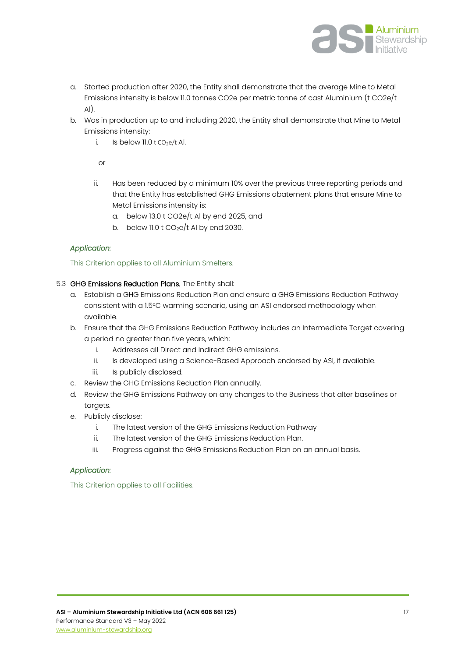

- a. Started production after 2020, the Entity shall demonstrate that the average Mine to Metal Emissions intensity is below 11.0 tonnes CO2e per metric tonne of cast Aluminium (t CO2e/t  $A$  $I$ ).
- b. Was in production up to and including 2020, the Entity shall demonstrate that Mine to Metal Emissions intensity:
	- i. Is below  $11.0$  t CO<sub>2</sub>e/t Al.

 $\cap$ r

- ii. Has been reduced by a minimum 10% over the previous three reporting periods and that the Entity has established GHG Emissions abatement plans that ensure Mine to Metal Emissions intensity is:
	- a. below 13.0 t CO2e/t Al by end 2025, and
	- b. below 11.0 t  $CO<sub>2</sub>e/t$  Al by end 2030.

#### *Application:*

This Criterion applies to all Aluminium Smelters.

#### 5.3 GHG Emissions Reduction Plans. The Entity shall:

- a. Establish a GHG Emissions Reduction Plan and ensure a GHG Emissions Reduction Pathway consistent with a 1.5°C warming scenario, using an ASI endorsed methodology when available.
- b. Ensure that the GHG Emissions Reduction Pathway includes an Intermediate Target covering a period no greater than five years, which:
	- i. Addresses all Direct and Indirect GHG emissions.
	- ii. Is developed using a Science-Based Approach endorsed by ASI, if available.
	- iii. Is publicly disclosed.
- c. Review the GHG Emissions Reduction Plan annually.
- d. Review the GHG Emissions Pathway on any changes to the Business that alter baselines or targets.
- e. Publicly disclose:
	- i. The latest version of the GHG Emissions Reduction Pathway
	- ii. The latest version of the GHG Emissions Reduction Plan.
	- iii. Progress against the GHG Emissions Reduction Plan on an annual basis.

#### *Application:*

This Criterion applies to all Facilities.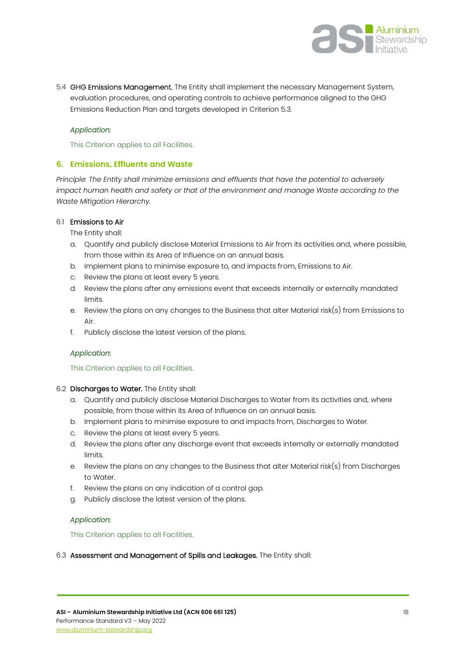

5.4 GHG Emissions Management. The Entity shall implement the necessary Management System, evaluation procedures, and operating controls to achieve performance aligned to the GHG Emissions Reduction Plan and targets developed in Criterion 5.3.

#### *Application:*

This Criterion applies to all Facilities.

#### <span id="page-17-0"></span>**6. Emissions, Effluents and Waste**

*Principle: The Entity shall minimize emissions and effluents that have the potential to adversely impact human health and safety or that of the environment and manage Waste according to the Waste Mitigation Hierarchy.*

#### 6.1 Emissions to Air

The Entity shall:

- a. Quantify and publicly disclose Material Emissions to Air from its activities and, where possible, from those within its Area of Influence on an annual basis.
- b. Implement plans to minimise exposure to, and impacts from, Emissions to Air.
- c. Review the plans at least every 5 years.
- d. Review the plans after any emissions event that exceeds internally or externally mandated limits.
- e. Review the plans on any changes to the Business that alter Material risk(s) from Emissions to Air.
- f. Publicly disclose the latest version of the plans.

#### *Application:*

#### This Criterion applies to all Facilities.

- 6.2 Discharges to Water. The Entity shall:
	- a. Quantify and publicly disclose Material Discharges to Water from its activities and, where possible, from those within its Area of Influence on an annual basis.
	- b. Implement plans to minimise exposure to and impacts from, Discharges to Water.
	- c. Review the plans at least every 5 years.
	- d. Review the plans after any discharge event that exceeds internally or externally mandated limits.
	- e. Review the plans on any changes to the Business that alter Material risk(s) from Discharges to Water.
	- f. Review the plans on any indication of a control gap.
	- g. Publicly disclose the latest version of the plans.

#### *Application:*

This Criterion applies to all Facilities.

#### 6.3 Assessment and Management of Spills and Leakages. The Entity shall: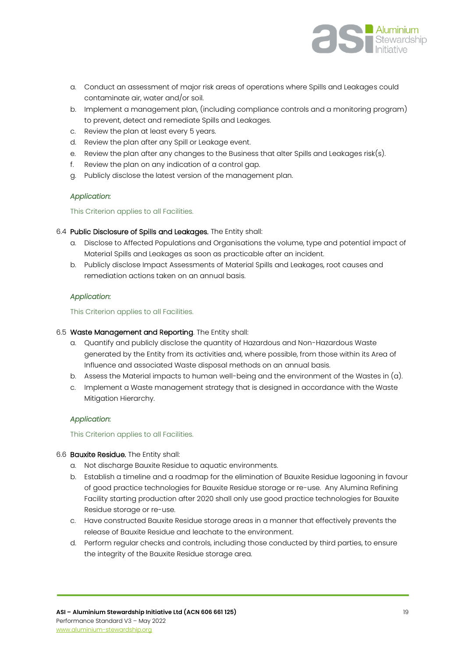

- a. Conduct an assessment of major risk areas of operations where Spills and Leakages could contaminate air, water and/or soil.
- b. Implement a management plan, (including compliance controls and a monitoring program) to prevent, detect and remediate Spills and Leakages.
- c. Review the plan at least every 5 years.
- d. Review the plan after any Spill or Leakage event.
- e. Review the plan after any changes to the Business that alter Spills and Leakages risk(s).
- f. Review the plan on any indication of a control gap.
- g. Publicly disclose the latest version of the management plan.

#### This Criterion applies to all Facilities.

#### 6.4 Public Disclosure of Spills and Leakages. The Entity shall:

- a. Disclose to Affected Populations and Organisations the volume, type and potential impact of Material Spills and Leakages as soon as practicable after an incident.
- b. Publicly disclose Impact Assessments of Material Spills and Leakages, root causes and remediation actions taken on an annual basis.

#### *Application:*

#### This Criterion applies to all Facilities.

#### 6.5 Waste Management and Reporting. The Entity shall:

- a. Quantify and publicly disclose the quantity of Hazardous and Non-Hazardous Waste generated by the Entity from its activities and, where possible, from those within its Area of Influence and associated Waste disposal methods on an annual basis.
- b. Assess the Material impacts to human well-being and the environment of the Wastes in (a).
- c. Implement a Waste management strategy that is designed in accordance with the Waste Mitigation Hierarchy.

#### *Application:*

#### This Criterion applies to all Facilities.

#### 6.6 Bauxite Residue. The Entity shall:

- a. Not discharge Bauxite Residue to aquatic environments.
- b. Establish a timeline and a roadmap for the elimination of Bauxite Residue lagooning in favour of good practice technologies for Bauxite Residue storage or re-use. Any Alumina Refining Facility starting production after 2020 shall only use good practice technologies for Bauxite Residue storage or re-use.
- c. Have constructed Bauxite Residue storage areas in a manner that effectively prevents the release of Bauxite Residue and leachate to the environment.
- d. Perform regular checks and controls, including those conducted by third parties, to ensure the integrity of the Bauxite Residue storage area.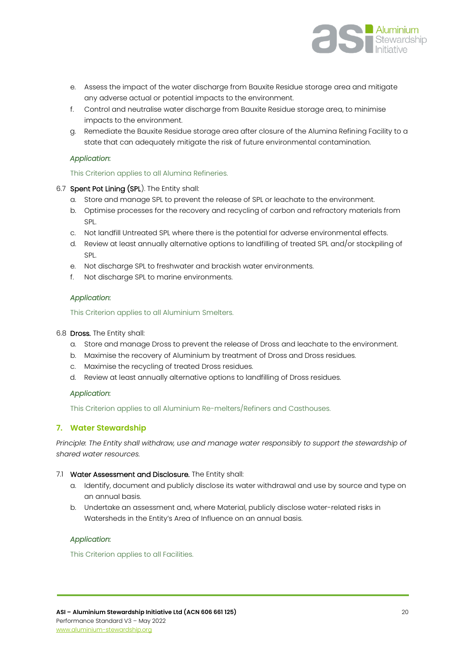

- e. Assess the impact of the water discharge from Bauxite Residue storage area and mitigate any adverse actual or potential impacts to the environment.
- f. Control and neutralise water discharge from Bauxite Residue storage area, to minimise impacts to the environment.
- g. Remediate the Bauxite Residue storage area after closure of the Alumina Refining Facility to a state that can adequately mitigate the risk of future environmental contamination.

This Criterion applies to all Alumina Refineries.

#### 6.7 Spent Pot Lining (SPL). The Entity shall:

- a. Store and manage SPL to prevent the release of SPL or leachate to the environment.
- b. Optimise processes for the recovery and recycling of carbon and refractory materials from SPL.
- c. Not landfill Untreated SPL where there is the potential for adverse environmental effects.
- d. Review at least annually alternative options to landfilling of treated SPL and/or stockpiling of SPL.
- e. Not discharge SPL to freshwater and brackish water environments.
- f. Not discharge SPL to marine environments.

#### *Application:*

This Criterion applies to all Aluminium Smelters.

#### 6.8 Dross. The Entity shall:

- a. Store and manage Dross to prevent the release of Dross and leachate to the environment.
- b. Maximise the recovery of Aluminium by treatment of Dross and Dross residues.
- c. Maximise the recycling of treated Dross residues.
- d. Review at least annually alternative options to landfilling of Dross residues.

#### *Application:*

This Criterion applies to all Aluminium Re-melters/Refiners and Casthouses.

#### <span id="page-19-0"></span>**7. Water Stewardship**

*Principle: The Entity shall withdraw, use and manage water responsibly to support the stewardship of shared water resources.*

#### 7.1 Water Assessment and Disclosure. The Entity shall:

- a. Identify, document and publicly disclose its water withdrawal and use by source and type on an annual basis.
- b. Undertake an assessment and, where Material, publicly disclose water-related risks in Watersheds in the Entity's Area of Influence on an annual basis.

#### *Application:*

This Criterion applies to all Facilities.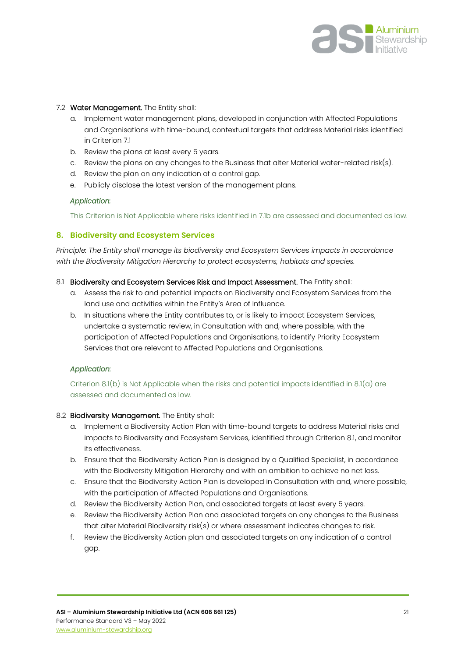

#### 7.2 Water Management. The Entity shall:

- a. Implement water management plans, developed in conjunction with Affected Populations and Organisations with time-bound, contextual targets that address Material risks identified in Criterion 7.1
- b. Review the plans at least every 5 years.
- c. Review the plans on any changes to the Business that alter Material water-related risk(s).
- d. Review the plan on any indication of a control gap.
- e. Publicly disclose the latest version of the management plans.

#### *Application:*

This Criterion is Not Applicable where risks identified in 7.1b are assessed and documented as low.

#### <span id="page-20-0"></span>**8. Biodiversity and Ecosystem Services**

*Principle: The Entity shall manage its biodiversity and Ecosystem Services impacts in accordance with the Biodiversity Mitigation Hierarchy to protect ecosystems, habitats and species.*

- 8.1 Biodiversity and Ecosystem Services Risk and Impact Assessment. The Entity shall:
	- a. Assess the risk to and potential impacts on Biodiversity and Ecosystem Services from the land use and activities within the Entity's Area of Influence.
	- b. In situations where the Entity contributes to, or is likely to impact Ecosystem Services, undertake a systematic review, in Consultation with and, where possible, with the participation of Affected Populations and Organisations, to identify Priority Ecosystem Services that are relevant to Affected Populations and Organisations.

#### *Application:*

Criterion 8.1(b) is Not Applicable when the risks and potential impacts identified in 8.1(a) are assessed and documented as low.

#### 8.2 Biodiversity Management. The Entity shall:

- a. Implement a Biodiversity Action Plan with time-bound targets to address Material risks and impacts to Biodiversity and Ecosystem Services, identified through Criterion 8.1, and monitor its effectiveness.
- b. Ensure that the Biodiversity Action Plan is designed by a Qualified Specialist, in accordance with the Biodiversity Mitigation Hierarchy and with an ambition to achieve no net loss.
- c. Ensure that the Biodiversity Action Plan is developed in Consultation with and, where possible, with the participation of Affected Populations and Organisations.
- d. Review the Biodiversity Action Plan, and associated targets at least every 5 years.
- e. Review the Biodiversity Action Plan and associated targets on any changes to the Business that alter Material Biodiversity risk(s) or where assessment indicates changes to risk.
- f. Review the Biodiversity Action plan and associated targets on any indication of a control gap.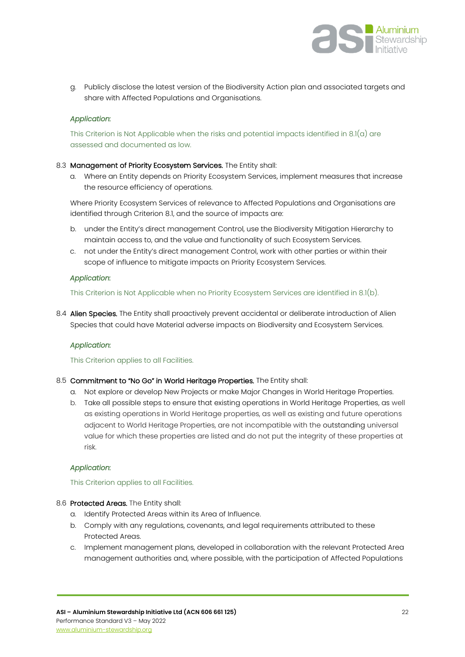

g. Publicly disclose the latest version of the Biodiversity Action plan and associated targets and share with Affected Populations and Organisations.

#### *Application:*

This Criterion is Not Applicable when the risks and potential impacts identified in  $8.1(a)$  are assessed and documented as low.

#### 8.3 Management of Priority Ecosystem Services. The Entity shall:

a. Where an Entity depends on Priority Ecosystem Services, implement measures that increase the resource efficiency of operations.

Where Priority Ecosystem Services of relevance to Affected Populations and Organisations are identified through Criterion 8.1, and the source of impacts are:

- b. under the Entity's direct management Control, use the Biodiversity Mitigation Hierarchy to maintain access to, and the value and functionality of such Ecosystem Services.
- c. not under the Entity's direct management Control, work with other parties or within their scope of influence to mitigate impacts on Priority Ecosystem Services.

#### *Application:*

This Criterion is Not Applicable when no Priority Ecosystem Services are identified in 8.1(b).

8.4 Alien Species. The Entity shall proactively prevent accidental or deliberate introduction of Alien Species that could have Material adverse impacts on Biodiversity and Ecosystem Services.

#### *Application:*

#### This Criterion applies to all Facilities.

#### 8.5 Commitment to "No Go" in World Heritage Properties. The Entity shall:

- a. Not explore or develop New Projects or make Major Changes in World Heritage Properties.
- b. Take all possible steps to ensure that existing operations in World Heritage Properties, as well as existing operations in World Heritage properties, as well as existing and future operations adjacent to World Heritage Properties, are not incompatible with the outstanding universal value for which these properties are listed and do not put the integrity of these properties at risk.

#### *Application:*

#### This Criterion applies to all Facilities.

- 8.6 Protected Areas. The Entity shall:
	- a. Identify Protected Areas within its Area of Influence.
	- b. Comply with any regulations, covenants, and legal requirements attributed to these Protected Areas.
	- c. Implement management plans, developed in collaboration with the relevant Protected Area management authorities and, where possible, with the participation of Affected Populations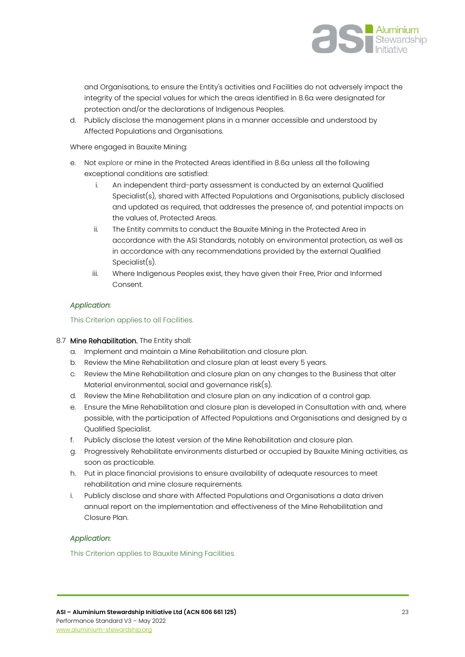

and Organisations, to ensure the Entity's activities and Facilities do not adversely impact the integrity of the special values for which the areas identified in 8.6a were designated for protection and/or the declarations of Indigenous Peoples.

d. Publicly disclose the management plans in a manner accessible and understood by Affected Populations and Organisations.

Where engaged in Bauxite Mining:

- e. Not explore or mine in the Protected Areas identified in 8.6a unless all the following exceptional conditions are satisfied:
	- i. An independent third-party assessment is conducted by an external Qualified Specialist(s), shared with Affected Populations and Organisations, publicly disclosed and updated as required, that addresses the presence of, and potential impacts on the values of, Protected Areas.
	- ii. The Entity commits to conduct the Bauxite Mining in the Protected Area in accordance with the ASI Standards, notably on environmental protection, as well as in accordance with any recommendations provided by the external Qualified Specialist(s).
	- iii. Where Indigenous Peoples exist, they have given their Free, Prior and Informed Consent.

#### *Application:*

This Criterion applies to all Facilities.

#### 8.7 Mine Rehabilitation. The Entity shall:

- a. Implement and maintain a Mine Rehabilitation and closure plan.
- b. Review the Mine Rehabilitation and closure plan at least every 5 years.
- c. Review the Mine Rehabilitation and closure plan on any changes to the Business that alter Material environmental, social and governance risk(s).
- d. Review the Mine Rehabilitation and closure plan on any indication of a control gap.
- e. Ensure the Mine Rehabilitation and closure plan is developed in Consultation with and, where possible, with the participation of Affected Populations and Organisations and designed by a Qualified Specialist.
- f. Publicly disclose the latest version of the Mine Rehabilitation and closure plan.
- g. Progressively Rehabilitate environments disturbed or occupied by Bauxite Mining activities, as soon as practicable.
- h. Put in place financial provisions to ensure availability of adequate resources to meet rehabilitation and mine closure requirements.
- i. Publicly disclose and share with Affected Populations and Organisations a data driven annual report on the implementation and effectiveness of the Mine Rehabilitation and Closure Plan.

#### *Application:*

This Criterion applies to Bauxite Mining Facilities.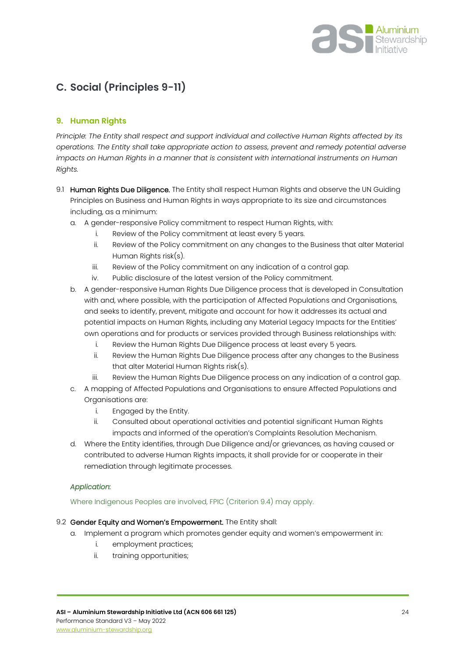

# <span id="page-23-0"></span>**C. Social (Principles 9-11)**

#### <span id="page-23-1"></span>**9. Human Rights**

*Principle: The Entity shall respect and support individual and collective Human Rights affected by its operations. The Entity shall take appropriate action to assess, prevent and remedy potential adverse impacts on Human Rights in a manner that is consistent with international instruments on Human Rights.*

- 9.1 Human Rights Due Diligence. The Entity shall respect Human Rights and observe the UN Guiding Principles on Business and Human Rights in ways appropriate to its size and circumstances including, as a minimum:
	- a. A gender-responsive Policy commitment to respect Human Rights, with:
		- i. Review of the Policy commitment at least every 5 years.
		- ii. Review of the Policy commitment on any changes to the Business that alter Material Human Rights risk(s).
		- iii. Review of the Policy commitment on any indication of a control gap.
		- iv. Public disclosure of the latest version of the Policy commitment.
	- b. A gender-responsive Human Rights Due Diligence process that is developed in Consultation with and, where possible, with the participation of Affected Populations and Organisations, and seeks to identify, prevent, mitigate and account for how it addresses its actual and potential impacts on Human Rights, including any Material Legacy Impacts for the Entities' own operations and for products or services provided through Business relationships with:
		- i. Review the Human Rights Due Diligence process at least every 5 years.
		- ii. Review the Human Rights Due Diligence process after any changes to the Business that alter Material Human Rights risk(s).
		- iii. Review the Human Rights Due Diligence process on any indication of a control gap.
	- c. A mapping of Affected Populations and Organisations to ensure Affected Populations and Organisations are:
		- i. Engaged by the Entity.
		- ii. Consulted about operational activities and potential significant Human Rights impacts and informed of the operation's Complaints Resolution Mechanism.
	- d. Where the Entity identifies, through Due Diligence and/or grievances, as having caused or contributed to adverse Human Rights impacts, it shall provide for or cooperate in their remediation through legitimate processes.

#### *Application:*

#### Where Indigenous Peoples are involved, FPIC (Criterion 9.4) may apply.

#### 9.2 Gender Equity and Women's Empowerment. The Entity shall:

- a. Implement a program which promotes gender equity and women's empowerment in:
	- i. employment practices;
	- ii. training opportunities;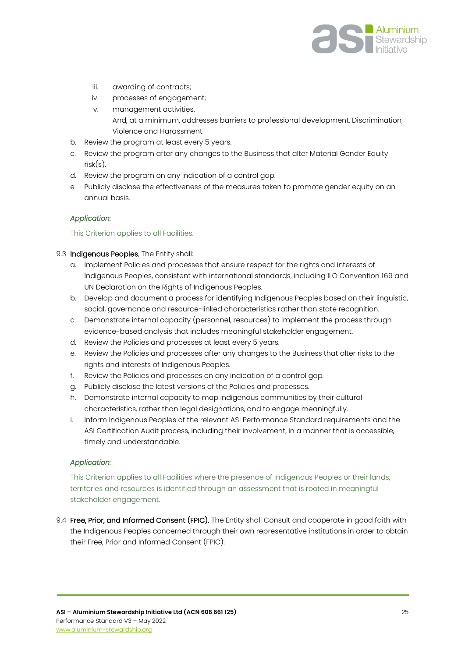

- iii. awarding of contracts;
- iv. processes of engagement;
- v. management activities. And, at a minimum, addresses barriers to professional development, Discrimination, Violence and Harassment.
- b. Review the program at least every 5 years.
- c. Review the program after any changes to the Business that alter Material Gender Equity risk(s).
- d. Review the program on any indication of a control gap.
- e. Publicly disclose the effectiveness of the measures taken to promote gender equity on an annual basis.

#### This Criterion applies to all Facilities.

#### 9.3 Indigenous Peoples. The Entity shall:

- a. Implement Policies and processes that ensure respect for the rights and interests of Indigenous Peoples, consistent with international standards, including ILO Convention 169 and UN Declaration on the Rights of Indigenous Peoples.
- b. Develop and document a process for identifying Indigenous Peoples based on their linguistic, social, governance and resource-linked characteristics rather than state recognition.
- c. Demonstrate internal capacity (personnel, resources) to implement the process through evidence-based analysis that includes meaningful stakeholder engagement.
- d. Review the Policies and processes at least every 5 years.
- e. Review the Policies and processes after any changes to the Business that alter risks to the rights and interests of Indigenous Peoples.
- f. Review the Policies and processes on any indication of a control gap.
- g. Publicly disclose the latest versions of the Policies and processes.
- h. Demonstrate internal capacity to map indigenous communities by their cultural characteristics, rather than legal designations, and to engage meaningfully.
- i. Inform Indigenous Peoples of the relevant ASI Performance Standard requirements and the ASI Certification Audit process, including their involvement, in a manner that is accessible, timely and understandable.

#### *Application:*

This Criterion applies to all Facilities where the presence of Indigenous Peoples or their lands, territories and resources is identified through an assessment that is rooted in meaningful stakeholder engagement.

9.4 Free, Prior, and Informed Consent (FPIC). The Entity shall Consult and cooperate in good faith with the Indigenous Peoples concerned through their own representative institutions in order to obtain their Free, Prior and Informed Consent (FPIC):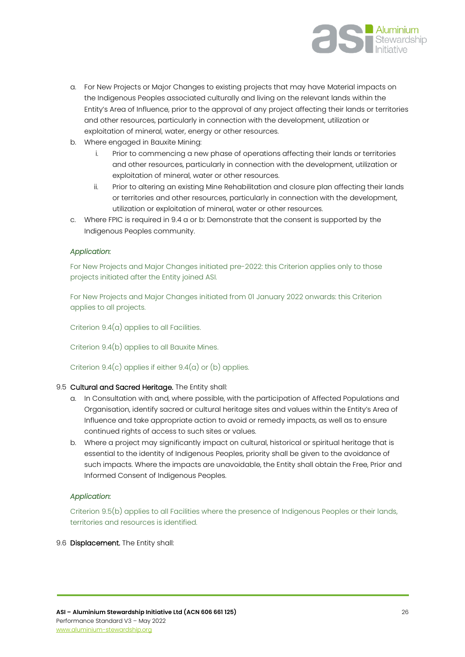

- a. For New Projects or Major Changes to existing projects that may have Material impacts on the Indigenous Peoples associated culturally and living on the relevant lands within the Entity's Area of Influence, prior to the approval of any project affecting their lands or territories and other resources, particularly in connection with the development, utilization or exploitation of mineral, water, energy or other resources.
- b. Where engaged in Bauxite Mining:
	- i. Prior to commencing a new phase of operations affecting their lands or territories and other resources, particularly in connection with the development, utilization or exploitation of mineral, water or other resources.
	- ii. Prior to altering an existing Mine Rehabilitation and closure plan affecting their lands or territories and other resources, particularly in connection with the development, utilization or exploitation of mineral, water or other resources.
- c. Where FPIC is required in 9.4 a or b: Demonstrate that the consent is supported by the Indigenous Peoples community.

For New Projects and Major Changes initiated pre-2022: this Criterion applies only to those projects initiated after the Entity joined ASI.

For New Projects and Major Changes initiated from 01 January 2022 onwards: this Criterion applies to all projects.

Criterion 9.4(a) applies to all Facilities.

Criterion 9.4(b) applies to all Bauxite Mines.

Criterion  $9.4(c)$  applies if either  $9.4(a)$  or (b) applies.

#### 9.5 Cultural and Sacred Heritage. The Entity shall:

- a. In Consultation with and, where possible, with the participation of Affected Populations and Organisation, identify sacred or cultural heritage sites and values within the Entity's Area of Influence and take appropriate action to avoid or remedy impacts, as well as to ensure continued rights of access to such sites or values.
- b. Where a project may significantly impact on cultural, historical or spiritual heritage that is essential to the identity of Indigenous Peoples, priority shall be given to the avoidance of such impacts. Where the impacts are unavoidable, the Entity shall obtain the Free, Prior and Informed Consent of Indigenous Peoples.

#### *Application:*

Criterion 9.5(b) applies to all Facilities where the presence of Indigenous Peoples or their lands, territories and resources is identified.

#### 9.6 **Displacement**. The Entity shall: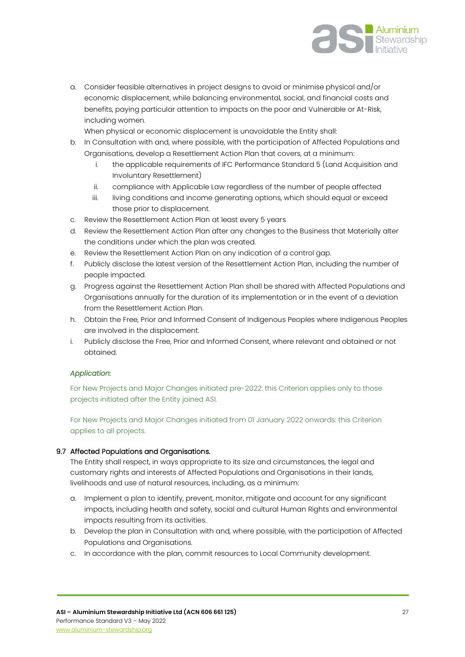

a. Consider feasible alternatives in project designs to avoid or minimise physical and/or economic displacement, while balancing environmental, social, and financial costs and benefits, paying particular attention to impacts on the poor and Vulnerable or At-Risk, including women.

When physical or economic displacement is unavoidable the Entity shall:

- b. In Consultation with and, where possible, with the participation of Affected Populations and Organisations, develop a Resettlement Action Plan that covers, at a minimum:
	- i. the applicable requirements of IFC Performance Standard 5 (Land Acquisition and Involuntary Resettlement)
	- ii. compliance with Applicable Law regardless of the number of people affected
	- iii. living conditions and income generating options, which should equal or exceed those prior to displacement.
- c. Review the Resettlement Action Plan at least every 5 years
- d. Review the Resettlement Action Plan after any changes to the Business that Materially alter the conditions under which the plan was created.
- e. Review the Resettlement Action Plan on any indication of a control gap.
- f. Publicly disclose the latest version of the Resettlement Action Plan, including the number of people impacted.
- g. Progress against the Resettlement Action Plan shall be shared with Affected Populations and Organisations annually for the duration of its implementation or in the event of a deviation from the Resettlement Action Plan.
- h. Obtain the Free, Prior and Informed Consent of Indigenous Peoples where Indigenous Peoples are involved in the displacement.
- i. Publicly disclose the Free, Prior and Informed Consent, where relevant and obtained or not obtained.

#### *Application:*

For New Projects and Major Changes initiated pre-2022: this Criterion applies only to those projects initiated after the Entity joined ASI.

For New Projects and Major Changes initiated from 01 January 2022 onwards: this Criterion applies to all projects.

#### 9.7 Affected Populations and Organisations.

The Entity shall respect, in ways appropriate to its size and circumstances, the legal and customary rights and interests of Affected Populations and Organisations in their lands, livelihoods and use of natural resources, including, as a minimum:

- a. Implement a plan to identify, prevent, monitor, mitigate and account for any significant impacts, including health and safety, social and cultural Human Rights and environmental impacts resulting from its activities.
- b. Develop the plan in Consultation with and, where possible, with the participation of Affected Populations and Organisations.
- c. In accordance with the plan, commit resources to Local Community development.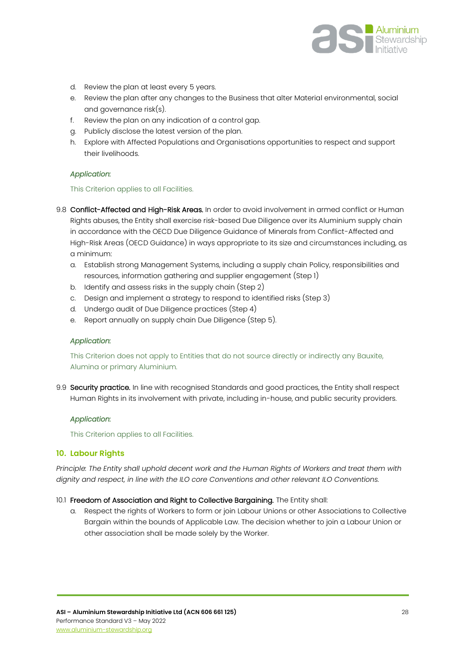

- d. Review the plan at least every 5 years.
- e. Review the plan after any changes to the Business that alter Material environmental, social and governance risk(s).
- f. Review the plan on any indication of a control gap.
- g. Publicly disclose the latest version of the plan.
- h. Explore with Affected Populations and Organisations opportunities to respect and support their livelihoods.

#### This Criterion applies to all Facilities.

- 9.8 Conflict-Affected and High-Risk Areas. In order to avoid involvement in armed conflict or Human Rights abuses, the Entity shall exercise risk-based Due Diligence over its Aluminium supply chain in accordance with the OECD Due Diligence Guidance of Minerals from Conflict-Affected and High-Risk Areas (OECD Guidance) in ways appropriate to its size and circumstances including, as a minimum:
	- a. Establish strong Management Systems, including a supply chain Policy, responsibilities and resources, information gathering and supplier engagement (Step 1)
	- b. Identify and assess risks in the supply chain (Step 2)
	- c. Design and implement a strategy to respond to identified risks (Step 3)
	- d. Undergo audit of Due Diligence practices (Step 4)
	- e. Report annually on supply chain Due Diligence (Step 5).

#### *Application:*

This Criterion does not apply to Entities that do not source directly or indirectly any Bauxite, Alumina or primary Aluminium.

9.9 Security practice. In line with recognised Standards and good practices, the Entity shall respect Human Rights in its involvement with private, including in-house, and public security providers.

#### *Application:*

This Criterion applies to all Facilities.

#### <span id="page-27-0"></span>**10. Labour Rights**

*Principle: The Entity shall uphold decent work and the Human Rights of Workers and treat them with dignity and respect, in line with the ILO core Conventions and other relevant ILO Conventions.*

#### 10.1 Freedom of Association and Right to Collective Bargaining. The Entity shall:

a. Respect the rights of Workers to form or join Labour Unions or other Associations to Collective Bargain within the bounds of Applicable Law. The decision whether to join a Labour Union or other association shall be made solely by the Worker.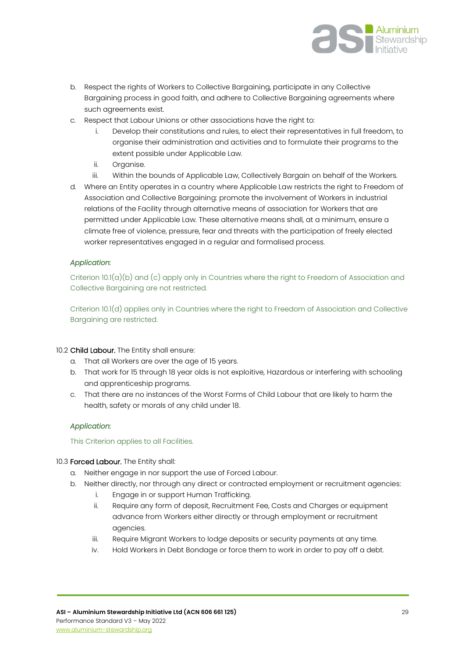

- b. Respect the rights of Workers to Collective Bargaining, participate in any Collective Bargaining process in good faith, and adhere to Collective Bargaining agreements where such agreements exist.
- c. Respect that Labour Unions or other associations have the right to:
	- i. Develop their constitutions and rules, to elect their representatives in full freedom, to organise their administration and activities and to formulate their programs to the extent possible under Applicable Law.
	- ii. Organise.
	- iii. Within the bounds of Applicable Law, Collectively Bargain on behalf of the Workers.
- d. Where an Entity operates in a country where Applicable Law restricts the right to Freedom of Association and Collective Bargaining: promote the involvement of Workers in industrial relations of the Facility through alternative means of association for Workers that are permitted under Applicable Law. These alternative means shall, at a minimum, ensure a climate free of violence, pressure, fear and threats with the participation of freely elected worker representatives engaged in a regular and formalised process.

Criterion  $10.1(a)(b)$  and  $(c)$  apply only in Countries where the right to Freedom of Association and Collective Bargaining are not restricted.

Criterion 10.1(d) applies only in Countries where the right to Freedom of Association and Collective Bargaining are restricted.

#### 10.2 Child Labour. The Entity shall ensure:

- a. That all Workers are over the age of 15 years.
- b. That work for 15 through 18 year olds is not exploitive, Hazardous or interfering with schooling and apprenticeship programs.
- c. That there are no instances of the Worst Forms of Child Labour that are likely to harm the health, safety or morals of any child under 18.

#### *Application:*

This Criterion applies to all Facilities.

#### 10.3 Forced Labour. The Entity shall:

- a. Neither engage in nor support the use of Forced Labour.
- b. Neither directly, nor through any direct or contracted employment or recruitment agencies:
	- i. Engage in or support Human Trafficking.
	- ii. Require any form of deposit, Recruitment Fee, Costs and Charges or equipment advance from Workers either directly or through employment or recruitment agencies.
	- iii. Require Migrant Workers to lodge deposits or security payments at any time.
	- iv. Hold Workers in Debt Bondage or force them to work in order to pay off a debt.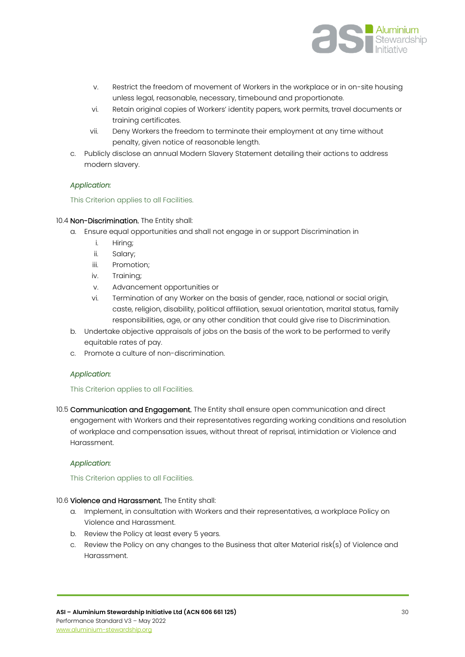

- v. Restrict the freedom of movement of Workers in the workplace or in on-site housing unless legal, reasonable, necessary, timebound and proportionate.
- vi. Retain original copies of Workers' identity papers, work permits, travel documents or training certificates.
- vii. Deny Workers the freedom to terminate their employment at any time without penalty, given notice of reasonable length.
- c. Publicly disclose an annual Modern Slavery Statement detailing their actions to address modern slavery.

#### This Criterion applies to all Facilities.

#### 10.4 Non-Discrimination. The Entity shall:

- a. Ensure equal opportunities and shall not engage in or support Discrimination in
	- i. Hiring;
	- ii. Salary;
	- iii. Promotion;
	- iv. Training;
	- v. Advancement opportunities or
	- vi. Termination of any Worker on the basis of gender, race, national or social origin, caste, religion, disability, political affiliation, sexual orientation, marital status, family responsibilities, age, or any other condition that could give rise to Discrimination.
- b. Undertake objective appraisals of jobs on the basis of the work to be performed to verify equitable rates of pay.
- c. Promote a culture of non-discrimination.

#### *Application:*

#### This Criterion applies to all Facilities.

10.5 Communication and Engagement. The Entity shall ensure open communication and direct engagement with Workers and their representatives regarding working conditions and resolution of workplace and compensation issues, without threat of reprisal, intimidation or Violence and Harassment.

#### *Application:*

#### This Criterion applies to all Facilities.

#### 10.6 Violence and Harassment. The Entity shall:

- a. Implement, in consultation with Workers and their representatives, a workplace Policy on Violence and Harassment.
- b. Review the Policy at least every 5 years.
- c. Review the Policy on any changes to the Business that alter Material risk(s) of Violence and Harassment.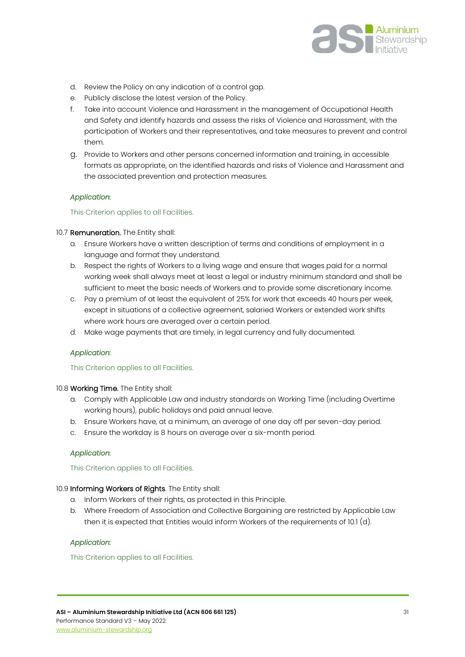

- d. Review the Policy on any indication of a control gap.
- e. Publicly disclose the latest version of the Policy.
- f. Take into account Violence and Harassment in the management of Occupational Health and Safety and identify hazards and assess the risks of Violence and Harassment, with the participation of Workers and their representatives, and take measures to prevent and control them.
- g. Provide to Workers and other persons concerned information and training, in accessible formats as appropriate, on the identified hazards and risks of Violence and Harassment and the associated prevention and protection measures.

This Criterion applies to all Facilities.

#### 10.7 **Remuneration.** The Entity shall:

- a. Ensure Workers have a written description of terms and conditions of employment in a language and format they understand.
- b. Respect the rights of Workers to a living wage and ensure that wages paid for a normal working week shall always meet at least a legal or industry minimum standard and shall be sufficient to meet the basic needs of Workers and to provide some discretionary income.
- c. Pay a premium of at least the equivalent of 25% for work that exceeds 40 hours per week, except in situations of a collective agreement, salaried Workers or extended work shifts where work hours are averaged over a certain period.
- d. Make wage payments that are timely, in legal currency and fully documented.

#### *Application:*

#### This Criterion applies to all Facilities.

#### 10.8 Working Time. The Entity shall:

- a. Comply with Applicable Law and industry standards on Working Time (including Overtime working hours), public holidays and paid annual leave.
- b. Ensure Workers have, at a minimum, an average of one day off per seven-day period.
- c. Ensure the workday is 8 hours on average over a six-month period.

#### *Application:*

This Criterion applies to all Facilities.

#### 10.9 Informing Workers of Rights. The Entity shall:

- a. Inform Workers of their rights, as protected in this Principle.
- b. Where Freedom of Association and Collective Bargaining are restricted by Applicable Law then it is expected that Entities would inform Workers of the requirements of 10.1 (d).

#### *Application:*

This Criterion applies to all Facilities.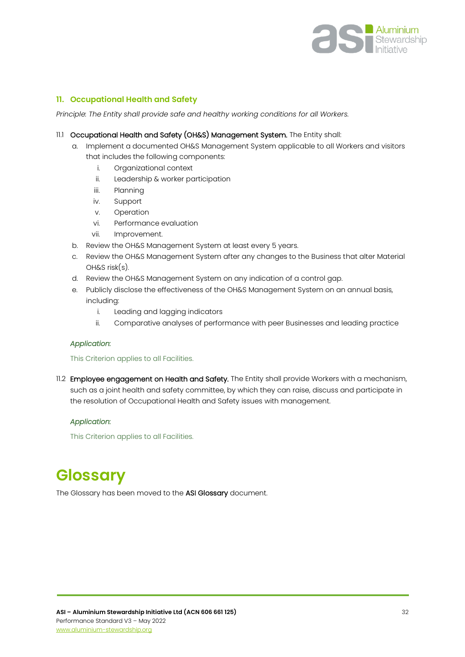

#### <span id="page-31-0"></span>**11. Occupational Health and Safety**

*Principle: The Entity shall provide safe and healthy working conditions for all Workers.*

- 11.1 Occupational Health and Safety (OH&S) Management System. The Entity shall:
	- a. Implement a documented OH&S Management System applicable to all Workers and visitors that includes the following components:
		- i. Organizational context
		- ii. Leadership & worker participation
		- iii. Planning
		- iv. Support
		- v. Operation
		- vi. Performance evaluation
		- vii. Improvement.
	- b. Review the OH&S Management System at least every 5 years.
	- c. Review the OH&S Management System after any changes to the Business that alter Material OH&S risk(s).
	- d. Review the OH&S Management System on any indication of a control gap.
	- e. Publicly disclose the effectiveness of the OH&S Management System on an annual basis, including:
		- i. Leading and lagging indicators
		- ii. Comparative analyses of performance with peer Businesses and leading practice

#### *Application:*

#### This Criterion applies to all Facilities.

11.2 Employee engagement on Health and Safety. The Entity shall provide Workers with a mechanism, such as a joint health and safety committee, by which they can raise, discuss and participate in the resolution of Occupational Health and Safety issues with management.

#### *Application:*

This Criterion applies to all Facilities.

# <span id="page-31-1"></span>**Glossary**

The Glossary has been moved to the ASI Glossary document.